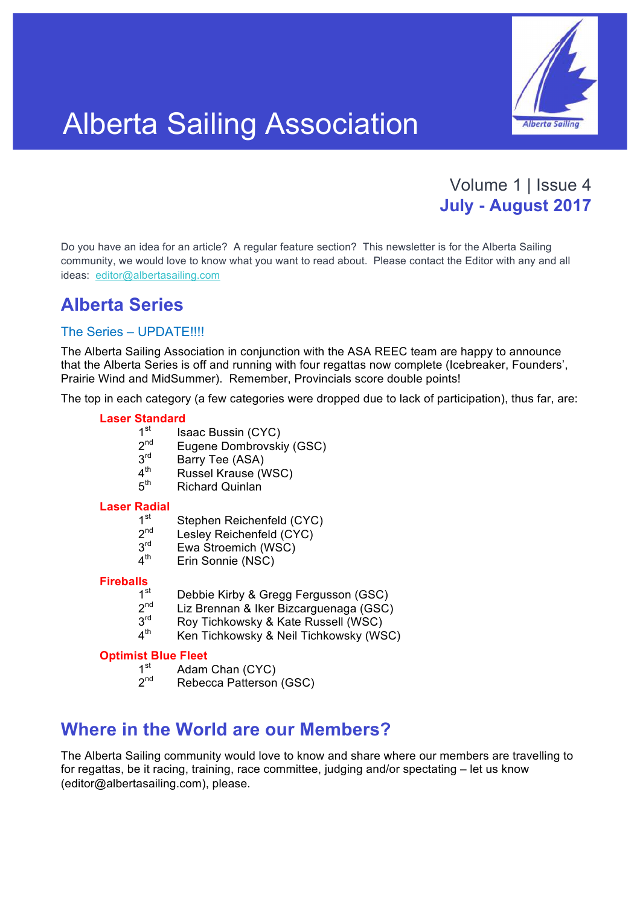

# Alberta Sailing Association

## Volume 1 | Issue 4 **July - August 2017**

Do you have an idea for an article? A regular feature section? This newsletter is for the Alberta Sailing community, we would love to know what you want to read about. Please contact the Editor with any and all ideas: editor@albertasailing.com

## **Alberta Series**

#### The Series – UPDATE!!!!

The Alberta Sailing Association in conjunction with the ASA REEC team are happy to announce that the Alberta Series is off and running with four regattas now complete (Icebreaker, Founders', Prairie Wind and MidSummer). Remember, Provincials score double points!

The top in each category (a few categories were dropped due to lack of participation), thus far, are:

#### **Laser Standard**

- $1^{\text{st}}$  Isaac Bussin (CYC)<br> $2^{\text{nd}}$  Eugene Dombrovski
- $2^{nd}$  Eugene Dombrovskiy (GSC)<br> $3^{rd}$  Barry Tee (ASA)
- $3<sup>rd</sup>$  Barry Tee (ASA)<br>4<sup>th</sup> Russel Krause <sup>(V</sup>
- $4<sup>th</sup>$  Russel Krause (WSC)<br> $5<sup>th</sup>$  Richard Quinlan
- Richard Quinlan

#### **Laser Radial**

- $1^{\text{st}}$  Stephen Reichenfeld (CYC)<br>  $2^{\text{nd}}$  Leslev Reichenfeld (CYC)
- $2^{nd}$  Lesley Reichenfeld (CYC)<br> $3^{rd}$  Ewa Stroemich (WSC)
- $3^{\text{rd}}$  Ewa Stroemich (WSC)<br> $4^{\text{th}}$  Frin Sonnie (NSC)
- Erin Sonnie (NSC)

## **Fireballs**

- $1^{\text{st}}$  Debbie Kirby & Gregg Fergusson (GSC)<br> $2^{\text{nd}}$  Liz Brennan & Iker Bizcarguenage (GSC)
- 2<sup>nd</sup> Liz Brennan & Iker Bizcarguenaga (GSC)<br>3<sup>rd</sup> Roy Tichkowsky & Kate Russell (WSC)
- $3<sup>rd</sup>$  Roy Tichkowsky & Kate Russell (WSC)<br> $4<sup>th</sup>$  Ken Tichkowsky & Neil Tichkowsky (WS
- Ken Tichkowsky & Neil Tichkowsky (WSC)

## **Optimist Blue Fleet**<br>1<sup>st</sup> Adam

- $1<sup>st</sup>$  Adam Chan (CYC)<br> $2<sup>nd</sup>$  Rebecca Patterson
- Rebecca Patterson (GSC)

## **Where in the World are our Members?**

The Alberta Sailing community would love to know and share where our members are travelling to for regattas, be it racing, training, race committee, judging and/or spectating – let us know (editor@albertasailing.com), please.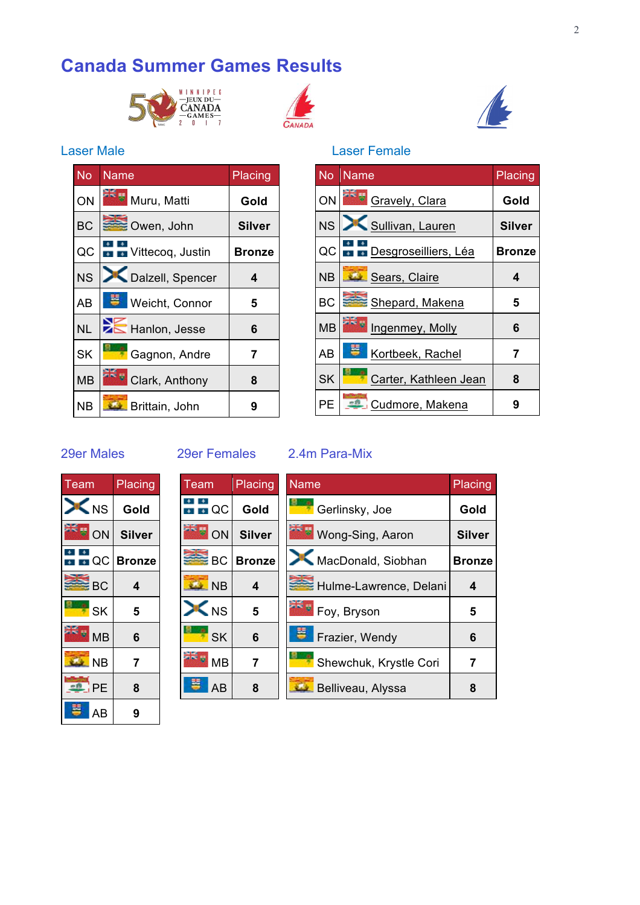## **Canada Summer Games Results**







#### Laser Male **Laser Female**

| טשו ועטו  |                         |               |  |  |
|-----------|-------------------------|---------------|--|--|
| <b>No</b> | Name                    | Placing       |  |  |
| ON        | Muru, Matti             | Gold          |  |  |
| <b>BC</b> | Owen, John              | <b>Silver</b> |  |  |
| QC        | Vittecoq, Justin        | <b>Bronze</b> |  |  |
| <b>NS</b> | Dalzell, Spencer        | 4             |  |  |
| <b>AB</b> | <b>B</b> Weicht, Connor | 5             |  |  |
| <b>NL</b> | Hanlon, Jesse           | 6             |  |  |
| <b>SK</b> | Gagnon, Andre           | 7             |  |  |
| <b>MB</b> | Clark, Anthony          | 8             |  |  |
| <b>NB</b> | Brittain, John          | 9             |  |  |

| No        | <b>Name</b>           | Placing       |
|-----------|-----------------------|---------------|
| ON        | SE Gravely, Clara     | Gold          |
|           | NS   Sullivan, Lauren | Silver        |
| QCli      | Desgroseilliers, Léa  | <b>Bronze</b> |
| <b>NB</b> | Sears, Claire         | 4             |
| <b>BC</b> | Shepard, Makena       | 5             |
| <b>MB</b> | Ingenmey, Molly       | 6             |
| AB        | Kortbeek, Rachel      | 7             |
| <b>SK</b> | Carter, Kathleen Jean | 8             |
| PЕ        | Cudmore, Makena       | 9             |

#### 29er Males 29er Females 2.4m Para-Mix

| Team                    | Placing       |  |
|-------------------------|---------------|--|
| X <sub>NS</sub>         | Gold          |  |
| ON                      | <b>Silver</b> |  |
| $\overline{\bullet}$ QC | <b>Bronze</b> |  |
| <b>BC</b>               | 4             |  |
| <b>SK</b>               | 5             |  |
| NIX II<br><b>MB</b>     | 6             |  |
| <b>NB</b>               | 7             |  |
| $e^{i\theta}$ PE        | 8             |  |
| AB                      | 9             |  |

| Team                             | Placing       |
|----------------------------------|---------------|
| $\blacksquare$ $\blacksquare$ QC | Gold          |
| ON                               | <b>Silver</b> |
| <b>BC</b>                        | <b>Bronze</b> |
| <b>NB</b>                        | 4             |
| $\blacksquare$ NS                | 5             |
| 9<br><b>SK</b>                   | 6             |
| <b>MB</b>                        | 7             |
| AB                               | 8             |

| Name                   | <b>Placing</b> |
|------------------------|----------------|
| Gerlinsky, Joe         | Gold           |
| Wong-Sing, Aaron       | <b>Silver</b>  |
| MacDonald, Siobhan     | <b>Bronze</b>  |
| Hulme-Lawrence, Delani | 4              |
| Foy, Bryson            | 5              |
| Frazier, Wendy         | 6              |
| Shewchuk, Krystle Cori | 7              |
| Belliveau, Alyssa      |                |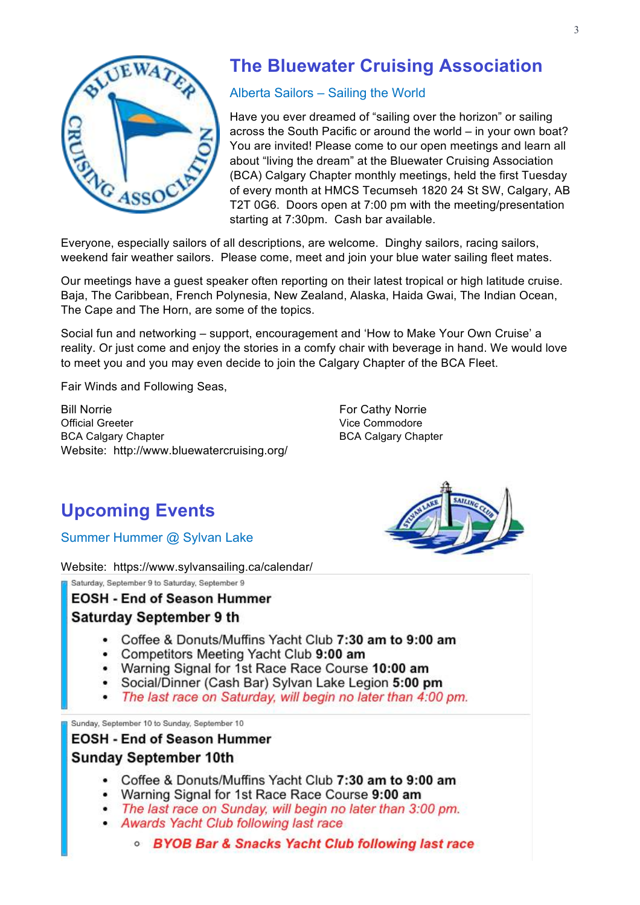

## **The Bluewater Cruising Association**

#### Alberta Sailors – Sailing the World

Have you ever dreamed of "sailing over the horizon" or sailing across the South Pacific or around the world – in your own boat? You are invited! Please come to our open meetings and learn all about "living the dream" at the Bluewater Cruising Association (BCA) Calgary Chapter monthly meetings, held the first Tuesday of every month at HMCS Tecumseh 1820 24 St SW, Calgary, AB T2T 0G6. Doors open at 7:00 pm with the meeting/presentation starting at 7:30pm. Cash bar available.

Everyone, especially sailors of all descriptions, are welcome. Dinghy sailors, racing sailors, weekend fair weather sailors. Please come, meet and join your blue water sailing fleet mates.

Our meetings have a guest speaker often reporting on their latest tropical or high latitude cruise. Baja, The Caribbean, French Polynesia, New Zealand, Alaska, Haida Gwai, The Indian Ocean, The Cape and The Horn, are some of the topics.

Social fun and networking – support, encouragement and 'How to Make Your Own Cruise' a reality. Or just come and enjoy the stories in a comfy chair with beverage in hand. We would love to meet you and you may even decide to join the Calgary Chapter of the BCA Fleet.

Fair Winds and Following Seas,

Bill Norrie Official Greeter BCA Calgary Chapter Website: http://www.bluewatercruising.org/ For Cathy Norrie Vice Commodore BCA Calgary Chapter

## **Upcoming Events**

Summer Hummer @ Sylvan Lake

Website: https://www.sylvansailing.ca/calendar/

Saturday, September 9 to Saturday, September 9

#### **EOSH - End of Season Hummer**

#### **Saturday September 9 th**

- Coffee & Donuts/Muffins Yacht Club 7:30 am to 9:00 am
- Competitors Meeting Yacht Club 9:00 am
- Warning Signal for 1st Race Race Course 10:00 am
- Social/Dinner (Cash Bar) Sylvan Lake Legion 5:00 pm
- The last race on Saturday, will begin no later than 4:00 pm.

Sunday, September 10 to Sunday, September 10

#### **EOSH - End of Season Hummer**

#### **Sunday September 10th**

- Coffee & Donuts/Muffins Yacht Club 7:30 am to 9:00 am
- Warning Signal for 1st Race Race Course 9:00 am
- The last race on Sunday, will begin no later than 3:00 pm.
- Awards Yacht Club following last race
	- **BYOB Bar & Snacks Yacht Club following last race**

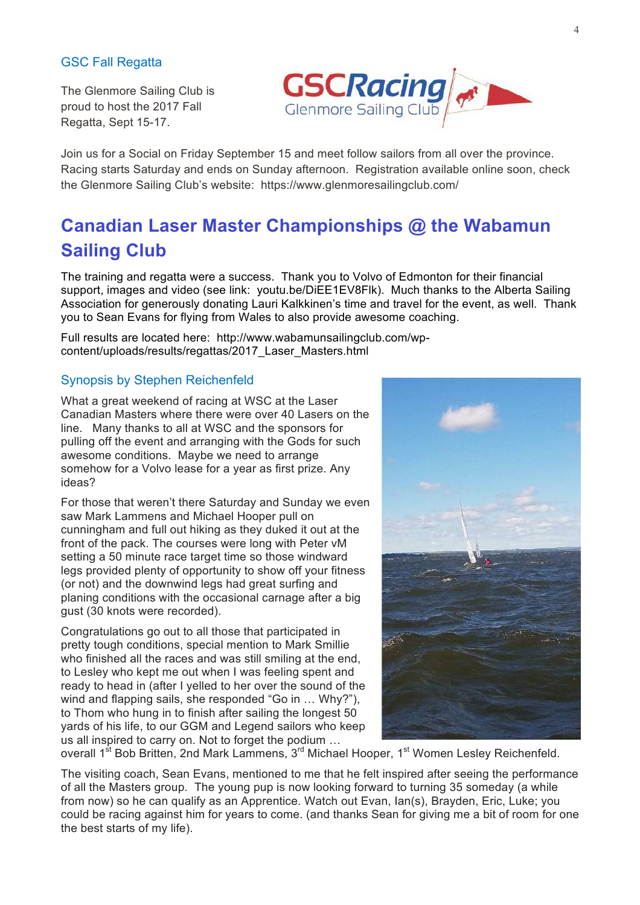#### GSC Fall Regatta

The Glenmore Sailing Club is proud to host the 2017 Fall Regatta, Sept 15-17.



Join us for a Social on Friday September 15 and meet follow sailors from all over the province. Racing starts Saturday and ends on Sunday afternoon. Registration available online soon, check the Glenmore Sailing Club's website: https://www.glenmoresailingclub.com/

## **Canadian Laser Master Championships @ the Wabamun Sailing Club**

The training and regatta were a success. Thank you to Volvo of Edmonton for their financial support, images and video (see link: youtu.be/DiEE1EV8Flk). Much thanks to the Alberta Sailing Association for generously donating Lauri Kalkkinen's time and travel for the event, as well. Thank you to Sean Evans for flying from Wales to also provide awesome coaching.

Full results are located here: http://www.wabamunsailingclub.com/wpcontent/uploads/results/regattas/2017\_Laser\_Masters.html

#### Synopsis by Stephen Reichenfeld

What a great weekend of racing at WSC at the Laser Canadian Masters where there were over 40 Lasers on the line. Many thanks to all at WSC and the sponsors for pulling off the event and arranging with the Gods for such awesome conditions. Maybe we need to arrange somehow for a Volvo lease for a year as first prize. Any ideas?

For those that weren't there Saturday and Sunday we even saw Mark Lammens and Michael Hooper pull on cunningham and full out hiking as they duked it out at the front of the pack. The courses were long with Peter vM setting a 50 minute race target time so those windward legs provided plenty of opportunity to show off your fitness (or not) and the downwind legs had great surfing and planing conditions with the occasional carnage after a big gust (30 knots were recorded).

Congratulations go out to all those that participated in pretty tough conditions, special mention to Mark Smillie who finished all the races and was still smiling at the end, to Lesley who kept me out when I was feeling spent and ready to head in (after I yelled to her over the sound of the wind and flapping sails, she responded "Go in … Why?"), to Thom who hung in to finish after sailing the longest 50 yards of his life, to our GGM and Legend sailors who keep us all inspired to carry on. Not to forget the podium …



overall 1<sup>st</sup> Bob Britten, 2nd Mark Lammens, 3<sup>rd</sup> Michael Hooper, 1<sup>st</sup> Women Lesley Reichenfeld.

The visiting coach, Sean Evans, mentioned to me that he felt inspired after seeing the performance of all the Masters group. The young pup is now looking forward to turning 35 someday (a while from now) so he can qualify as an Apprentice. Watch out Evan, Ian(s), Brayden, Eric, Luke; you could be racing against him for years to come. (and thanks Sean for giving me a bit of room for one the best starts of my life).